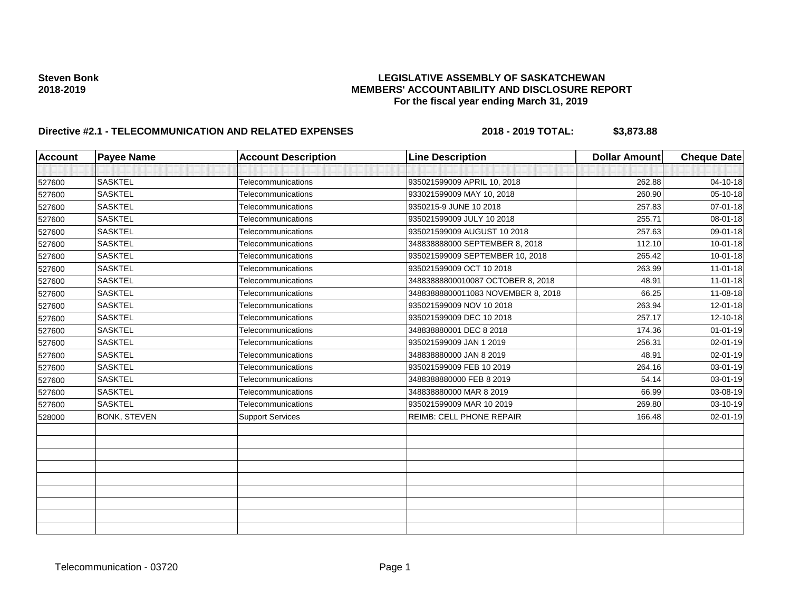### **Steven Bonk LEGISLATIVE ASSEMBLY OF SASKATCHEWAN 2018-2019 MEMBERS' ACCOUNTABILITY AND DISCLOSURE REPORT For the fiscal year ending March 31, 2019**

# **Directive #2.1 - TELECOMMUNICATION AND RELATED EXPENSES** 2018 - 2018 - 2019 TOTAL: \$3,873.88

| <b>Account</b> | <b>Payee Name</b>   | <b>Account Description</b> | <b>Line Description</b>            | <b>Dollar Amount</b> | <b>Cheque Date</b> |
|----------------|---------------------|----------------------------|------------------------------------|----------------------|--------------------|
|                |                     |                            |                                    |                      |                    |
| 527600         | <b>SASKTEL</b>      | Telecommunications         | 935021599009 APRIL 10, 2018        | 262.88               | 04-10-18           |
| 527600         | <b>SASKTEL</b>      | Telecommunications         | 933021599009 MAY 10, 2018          | 260.90               | $05 - 10 - 18$     |
| 527600         | <b>SASKTEL</b>      | Telecommunications         | 9350215-9 JUNE 10 2018             | 257.83               | 07-01-18           |
| 527600         | <b>SASKTEL</b>      | Telecommunications         | 935021599009 JULY 10 2018          | 255.71               | 08-01-18           |
| 527600         | <b>SASKTEL</b>      | Telecommunications         | 935021599009 AUGUST 10 2018        | 257.63               | 09-01-18           |
| 527600         | <b>SASKTEL</b>      | Telecommunications         | 348838888000 SEPTEMBER 8, 2018     | 112.10               | $10 - 01 - 18$     |
| 527600         | <b>SASKTEL</b>      | Telecommunications         | 935021599009 SEPTEMBER 10, 2018    | 265.42               | $10 - 01 - 18$     |
| 527600         | <b>SASKTEL</b>      | Telecommunications         | 935021599009 OCT 10 2018           | 263.99               | $11 - 01 - 18$     |
| 527600         | <b>SASKTEL</b>      | Telecommunications         | 34883888800010087 OCTOBER 8, 2018  | 48.91                | $11 - 01 - 18$     |
| 527600         | <b>SASKTEL</b>      | <b>Telecommunications</b>  | 34883888800011083 NOVEMBER 8, 2018 | 66.25                | 11-08-18           |
| 527600         | <b>SASKTEL</b>      | Telecommunications         | 935021599009 NOV 10 2018           | 263.94               | 12-01-18           |
| 527600         | <b>SASKTEL</b>      | Telecommunications         | 935021599009 DEC 10 2018           | 257.17               | 12-10-18           |
| 527600         | <b>SASKTEL</b>      | Telecommunications         | 348838880001 DEC 8 2018            | 174.36               | $01 - 01 - 19$     |
| 527600         | <b>SASKTEL</b>      | Telecommunications         | 935021599009 JAN 1 2019            | 256.31               | 02-01-19           |
| 527600         | <b>SASKTEL</b>      | Telecommunications         | 348838880000 JAN 8 2019            | 48.91                | 02-01-19           |
| 527600         | <b>SASKTEL</b>      | Telecommunications         | 935021599009 FEB 10 2019           | 264.16               | 03-01-19           |
| 527600         | <b>SASKTEL</b>      | Telecommunications         | 3488388880000 FEB 8 2019           | 54.14                | 03-01-19           |
| 527600         | <b>SASKTEL</b>      | Telecommunications         | 348838880000 MAR 8 2019            | 66.99                | 03-08-19           |
| 527600         | <b>SASKTEL</b>      | Telecommunications         | 935021599009 MAR 10 2019           | 269.80               | 03-10-19           |
| 528000         | <b>BONK, STEVEN</b> | <b>Support Services</b>    | REIMB: CELL PHONE REPAIR           | 166.48               | 02-01-19           |
|                |                     |                            |                                    |                      |                    |
|                |                     |                            |                                    |                      |                    |
|                |                     |                            |                                    |                      |                    |
|                |                     |                            |                                    |                      |                    |
|                |                     |                            |                                    |                      |                    |
|                |                     |                            |                                    |                      |                    |
|                |                     |                            |                                    |                      |                    |
|                |                     |                            |                                    |                      |                    |
|                |                     |                            |                                    |                      |                    |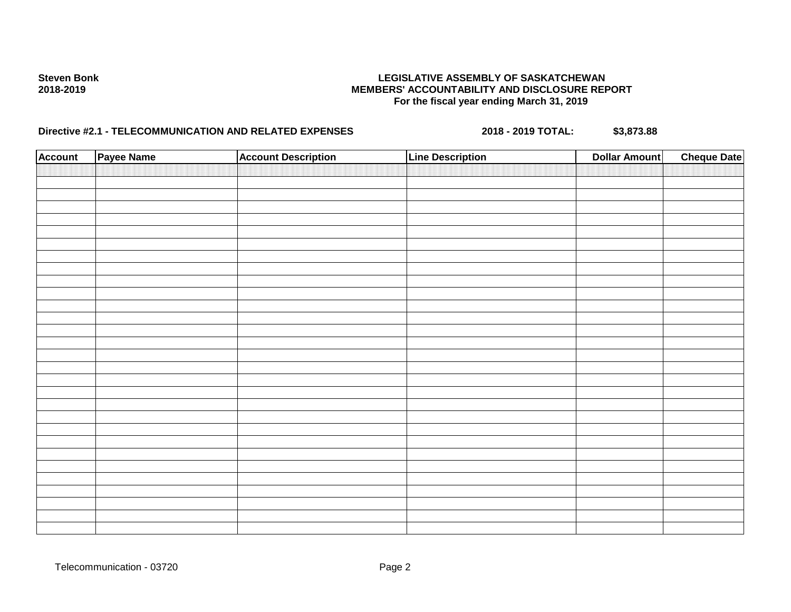# **Steven Bonk LEGISLATIVE ASSEMBLY OF SASKATCHEWAN 2018-2019 MEMBERS' ACCOUNTABILITY AND DISCLOSURE REPORT For the fiscal year ending March 31, 2019**

# **Directive #2.1 - TELECOMMUNICATION AND RELATED EXPENSES** 2018 - 2018 - 2019 TOTAL: \$3,873.88

| <b>Account</b> | Payee Name | <b>Account Description</b> | <b>Line Description</b> | <b>Dollar Amount</b> | <b>Cheque Date</b> |
|----------------|------------|----------------------------|-------------------------|----------------------|--------------------|
|                |            |                            |                         |                      |                    |
|                |            |                            |                         |                      |                    |
|                |            |                            |                         |                      |                    |
|                |            |                            |                         |                      |                    |
|                |            |                            |                         |                      |                    |
|                |            |                            |                         |                      |                    |
|                |            |                            |                         |                      |                    |
|                |            |                            |                         |                      |                    |
|                |            |                            |                         |                      |                    |
|                |            |                            |                         |                      |                    |
|                |            |                            |                         |                      |                    |
|                |            |                            |                         |                      |                    |
|                |            |                            |                         |                      |                    |
|                |            |                            |                         |                      |                    |
|                |            |                            |                         |                      |                    |
|                |            |                            |                         |                      |                    |
|                |            |                            |                         |                      |                    |
|                |            |                            |                         |                      |                    |
|                |            |                            |                         |                      |                    |
|                |            |                            |                         |                      |                    |
|                |            |                            |                         |                      |                    |
|                |            |                            |                         |                      |                    |
|                |            |                            |                         |                      |                    |
|                |            |                            |                         |                      |                    |
|                |            |                            |                         |                      |                    |
|                |            |                            |                         |                      |                    |
|                |            |                            |                         |                      |                    |
|                |            |                            |                         |                      |                    |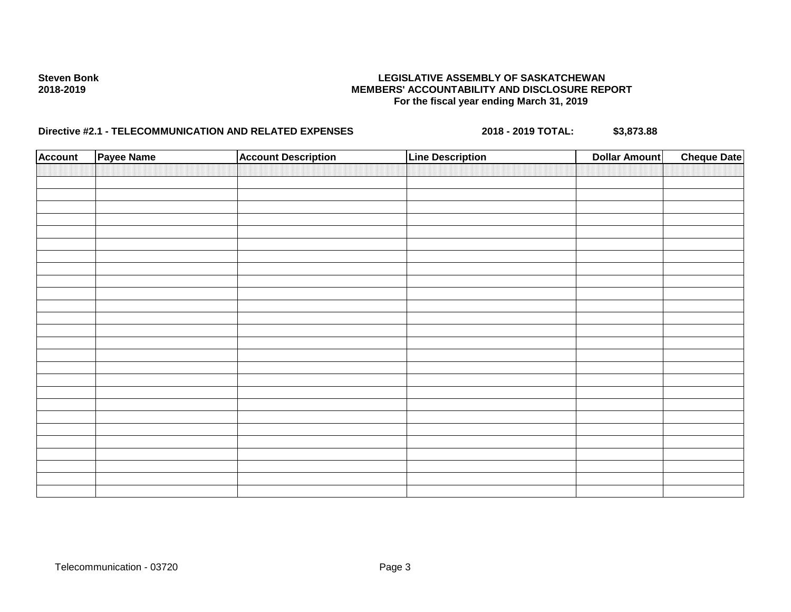# **Steven Bonk LEGISLATIVE ASSEMBLY OF SASKATCHEWAN 2018-2019 MEMBERS' ACCOUNTABILITY AND DISCLOSURE REPORT For the fiscal year ending March 31, 2019**

# **Directive #2.1 - TELECOMMUNICATION AND RELATED EXPENSES** 2018 - 2018 - 2019 TOTAL: \$3,873.88

| <b>Account</b> | Payee Name | <b>Account Description</b> | <b>Line Description</b> | <b>Dollar Amount</b> | <b>Cheque Date</b> |
|----------------|------------|----------------------------|-------------------------|----------------------|--------------------|
|                |            |                            |                         |                      |                    |
|                |            |                            |                         |                      |                    |
|                |            |                            |                         |                      |                    |
|                |            |                            |                         |                      |                    |
|                |            |                            |                         |                      |                    |
|                |            |                            |                         |                      |                    |
|                |            |                            |                         |                      |                    |
|                |            |                            |                         |                      |                    |
|                |            |                            |                         |                      |                    |
|                |            |                            |                         |                      |                    |
|                |            |                            |                         |                      |                    |
|                |            |                            |                         |                      |                    |
|                |            |                            |                         |                      |                    |
|                |            |                            |                         |                      |                    |
|                |            |                            |                         |                      |                    |
|                |            |                            |                         |                      |                    |
|                |            |                            |                         |                      |                    |
|                |            |                            |                         |                      |                    |
|                |            |                            |                         |                      |                    |
|                |            |                            |                         |                      |                    |
|                |            |                            |                         |                      |                    |
|                |            |                            |                         |                      |                    |
|                |            |                            |                         |                      |                    |
|                |            |                            |                         |                      |                    |
|                |            |                            |                         |                      |                    |
|                |            |                            |                         |                      |                    |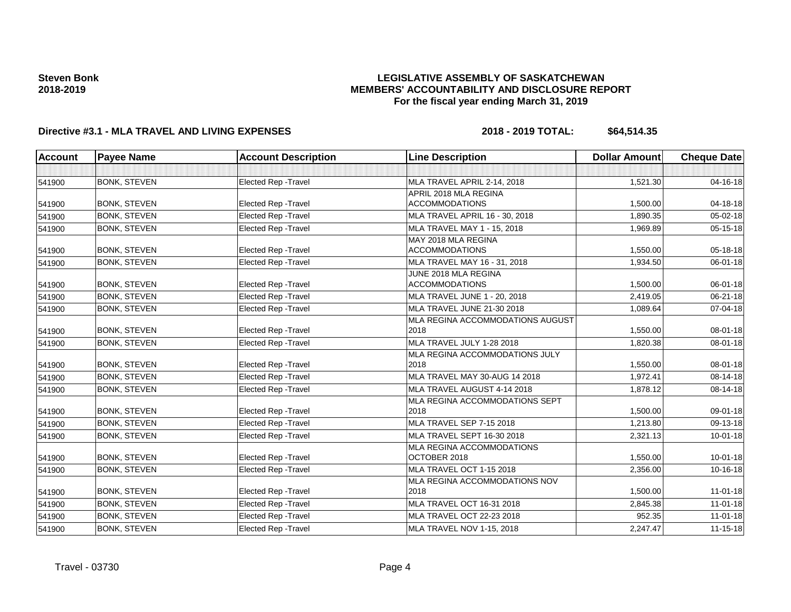### **LEGISLATIVE ASSEMBLY OF SASKATCHEWAN MEMBERS' ACCOUNTABILITY AND DISCLOSURE REPORT For the fiscal year ending March 31, 2019**

# **Directive #3.1 - MLA TRAVEL AND LIVING EXPENSES 2018 - 2019 TOTAL: \$64,514.35**

| <b>Account</b> | <b>Payee Name</b>   | <b>Account Description</b>  | <b>Line Description</b>                                          | <b>Dollar Amount</b> | <b>Cheque Date</b> |
|----------------|---------------------|-----------------------------|------------------------------------------------------------------|----------------------|--------------------|
|                |                     |                             |                                                                  |                      |                    |
| 541900         | <b>BONK, STEVEN</b> | <b>Elected Rep - Travel</b> | MLA TRAVEL APRIL 2-14, 2018                                      | 1,521.30             | $04 - 16 - 18$     |
|                |                     |                             | APRIL 2018 MLA REGINA                                            |                      |                    |
| 541900         | <b>BONK, STEVEN</b> | <b>Elected Rep - Travel</b> | <b>ACCOMMODATIONS</b>                                            | 1,500.00             | 04-18-18           |
| 541900         | <b>BONK, STEVEN</b> | <b>Elected Rep - Travel</b> | MLA TRAVEL APRIL 16 - 30, 2018                                   | 1.890.35             | $05 - 02 - 18$     |
| 541900         | <b>BONK, STEVEN</b> | Elected Rep - Travel        | MLA TRAVEL MAY 1 - 15, 2018                                      | 1,969.89             | 05-15-18           |
|                |                     |                             | MAY 2018 MLA REGINA                                              |                      |                    |
| 541900         | <b>BONK, STEVEN</b> | <b>Elected Rep - Travel</b> | <b>ACCOMMODATIONS</b>                                            | 1,550.00             | 05-18-18           |
| 541900         | <b>BONK, STEVEN</b> | <b>Elected Rep - Travel</b> | MLA TRAVEL MAY 16 - 31, 2018<br>JUNE 2018 MLA REGINA             | 1,934.50             | 06-01-18           |
| 541900         | <b>BONK, STEVEN</b> | <b>Elected Rep - Travel</b> | <b>ACCOMMODATIONS</b>                                            | 1,500.00             | 06-01-18           |
| 541900         | <b>BONK, STEVEN</b> | <b>Elected Rep - Travel</b> | MLA TRAVEL JUNE 1 - 20, 2018                                     | 2,419.05             | 06-21-18           |
| 541900         | <b>BONK, STEVEN</b> | Elected Rep - Travel        | MLA TRAVEL JUNE 21-30 2018                                       | 1,089.64             | 07-04-18           |
|                |                     |                             | MLA REGINA ACCOMMODATIONS AUGUST                                 |                      |                    |
| 541900         | <b>BONK, STEVEN</b> | <b>Elected Rep - Travel</b> | 2018                                                             | 1,550.00             | 08-01-18           |
| 541900         | <b>BONK, STEVEN</b> | Elected Rep - Travel        | MLA TRAVEL JULY 1-28 2018                                        | 1,820.38             | 08-01-18           |
|                |                     |                             | MLA REGINA ACCOMMODATIONS JULY                                   |                      |                    |
| 541900         | <b>BONK, STEVEN</b> | Elected Rep - Travel        | 2018                                                             | 1,550.00             | 08-01-18           |
| 541900         | <b>BONK, STEVEN</b> | Elected Rep - Travel        | MLA TRAVEL MAY 30-AUG 14 2018                                    | 1,972.41             | 08-14-18           |
| 541900         | <b>BONK, STEVEN</b> | Elected Rep - Travel        | MLA TRAVEL AUGUST 4-14 2018                                      | 1,878.12             | 08-14-18           |
|                |                     |                             | MLA REGINA ACCOMMODATIONS SEPT                                   |                      |                    |
| 541900         | <b>BONK, STEVEN</b> | <b>Elected Rep - Travel</b> | 2018                                                             | 1,500.00             | 09-01-18           |
| 541900         | <b>BONK, STEVEN</b> | Elected Rep - Travel        | MLA TRAVEL SEP 7-15 2018                                         | 1,213.80             | 09-13-18           |
| 541900         | <b>BONK, STEVEN</b> | Elected Rep - Travel        | <b>MLA TRAVEL SEPT 16-30 2018</b>                                | 2,321.13             | $10 - 01 - 18$     |
|                | <b>BONK, STEVEN</b> | <b>Elected Rep - Travel</b> | MLA REGINA ACCOMMODATIONS                                        |                      | $10 - 01 - 18$     |
| 541900         |                     |                             | OCTOBER 2018                                                     | 1,550.00             |                    |
| 541900         | <b>BONK, STEVEN</b> | <b>Elected Rep - Travel</b> | <b>MLA TRAVEL OCT 1-15 2018</b><br>MLA REGINA ACCOMMODATIONS NOV | 2,356.00             | 10-16-18           |
| 541900         | <b>BONK, STEVEN</b> | Elected Rep - Travel        | 2018                                                             | 1,500.00             | $11 - 01 - 18$     |
| 541900         | <b>BONK, STEVEN</b> | Elected Rep - Travel        | MLA TRAVEL OCT 16-31 2018                                        | 2,845.38             | $11 - 01 - 18$     |
| 541900         | <b>BONK, STEVEN</b> | Elected Rep - Travel        | MLA TRAVEL OCT 22-23 2018                                        | 952.35               | $11-01-18$         |
| 541900         | <b>BONK, STEVEN</b> | Elected Rep - Travel        | MLA TRAVEL NOV 1-15, 2018                                        | 2,247.47             | $11 - 15 - 18$     |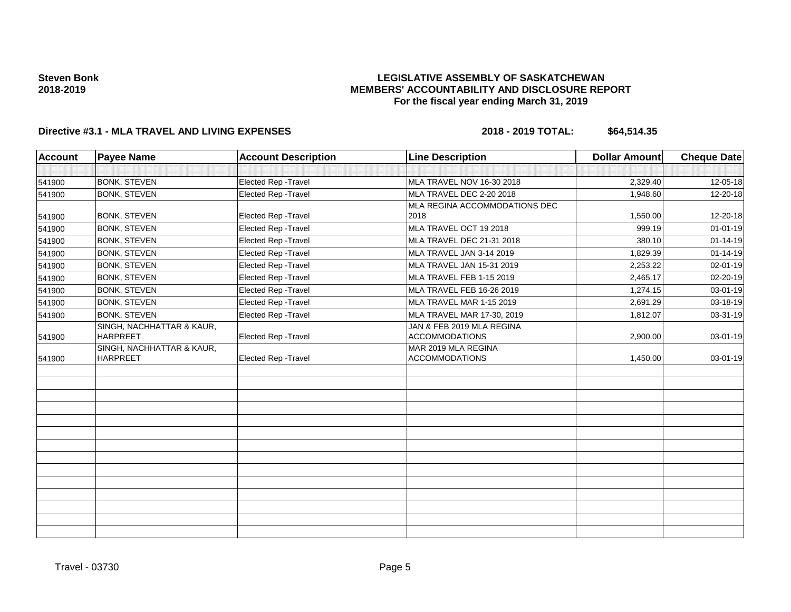### **LEGISLATIVE ASSEMBLY OF SASKATCHEWAN MEMBERS' ACCOUNTABILITY AND DISCLOSURE REPORT For the fiscal year ending March 31, 2019**

# **Directive #3.1 - MLA TRAVEL AND LIVING EXPENSES 2018 - 2019 TOTAL: \$64,514.35**

| <b>Account</b> | <b>Payee Name</b>                            | <b>Account Description</b>  | <b>Line Description</b>                            | <b>Dollar Amount</b> | <b>Cheque Date</b> |
|----------------|----------------------------------------------|-----------------------------|----------------------------------------------------|----------------------|--------------------|
|                |                                              |                             |                                                    |                      |                    |
| 541900         | <b>BONK, STEVEN</b>                          | Elected Rep - Travel        | MLA TRAVEL NOV 16-30 2018                          | 2,329.40             | 12-05-18           |
| 541900         | <b>BONK, STEVEN</b>                          | Elected Rep - Travel        | MLA TRAVEL DEC 2-20 2018                           | 1,948.60             | 12-20-18           |
|                |                                              |                             | MLA REGINA ACCOMMODATIONS DEC                      |                      |                    |
| 541900         | <b>BONK, STEVEN</b>                          | Elected Rep - Travel        | 2018                                               | 1,550.00             | 12-20-18           |
| 541900         | <b>BONK, STEVEN</b>                          | <b>Elected Rep - Travel</b> | MLA TRAVEL OCT 19 2018                             | 999.19               | $01 - 01 - 19$     |
| 541900         | <b>BONK, STEVEN</b>                          | Elected Rep - Travel        | MLA TRAVEL DEC 21-31 2018                          | 380.10               | $01 - 14 - 19$     |
| 541900         | <b>BONK, STEVEN</b>                          | Elected Rep - Travel        | MLA TRAVEL JAN 3-14 2019                           | 1,829.39             | $01 - 14 - 19$     |
| 541900         | <b>BONK, STEVEN</b>                          | Elected Rep - Travel        | MLA TRAVEL JAN 15-31 2019                          | 2,253.22             | 02-01-19           |
| 541900         | <b>BONK, STEVEN</b>                          | Elected Rep - Travel        | MLA TRAVEL FEB 1-15 2019                           | 2,465.17             | 02-20-19           |
| 541900         | <b>BONK, STEVEN</b>                          | Elected Rep - Travel        | MLA TRAVEL FEB 16-26 2019                          | 1.274.15             | 03-01-19           |
| 541900         | <b>BONK, STEVEN</b>                          | Elected Rep - Travel        | MLA TRAVEL MAR 1-15 2019                           | 2,691.29             | 03-18-19           |
| 541900         | <b>BONK, STEVEN</b>                          | Elected Rep - Travel        | MLA TRAVEL MAR 17-30, 2019                         | 1,812.07             | 03-31-19           |
| 541900         | SINGH, NACHHATTAR & KAUR,<br><b>HARPREET</b> | <b>Elected Rep - Travel</b> | JAN & FEB 2019 MLA REGINA<br><b>ACCOMMODATIONS</b> | 2,900.00             | 03-01-19           |
| 541900         | SINGH, NACHHATTAR & KAUR,<br><b>HARPREET</b> | Elected Rep - Travel        | MAR 2019 MLA REGINA<br><b>ACCOMMODATIONS</b>       | 1,450.00             | 03-01-19           |
|                |                                              |                             |                                                    |                      |                    |
|                |                                              |                             |                                                    |                      |                    |
|                |                                              |                             |                                                    |                      |                    |
|                |                                              |                             |                                                    |                      |                    |
|                |                                              |                             |                                                    |                      |                    |
|                |                                              |                             |                                                    |                      |                    |
|                |                                              |                             |                                                    |                      |                    |
|                |                                              |                             |                                                    |                      |                    |
|                |                                              |                             |                                                    |                      |                    |
|                |                                              |                             |                                                    |                      |                    |
|                |                                              |                             |                                                    |                      |                    |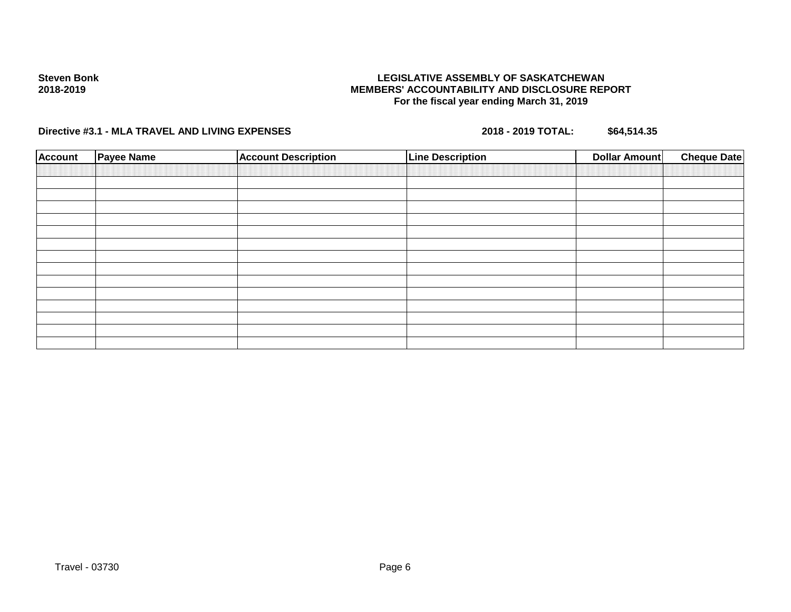### **LEGISLATIVE ASSEMBLY OF SASKATCHEWAN MEMBERS' ACCOUNTABILITY AND DISCLOSURE REPORT For the fiscal year ending March 31, 2019**

**Directive #3.1 - MLA TRAVEL AND LIVING EXPENSES 2018 - 2019 TOTAL: \$64,514.35**

| <b>Account</b> | <b>Payee Name</b> | <b>Account Description</b> | <b>Line Description</b> | <b>Dollar Amount</b> | <b>Cheque Date</b> |
|----------------|-------------------|----------------------------|-------------------------|----------------------|--------------------|
|                |                   |                            |                         |                      |                    |
|                |                   |                            |                         |                      |                    |
|                |                   |                            |                         |                      |                    |
|                |                   |                            |                         |                      |                    |
|                |                   |                            |                         |                      |                    |
|                |                   |                            |                         |                      |                    |
|                |                   |                            |                         |                      |                    |
|                |                   |                            |                         |                      |                    |
|                |                   |                            |                         |                      |                    |
|                |                   |                            |                         |                      |                    |
|                |                   |                            |                         |                      |                    |
|                |                   |                            |                         |                      |                    |
|                |                   |                            |                         |                      |                    |
|                |                   |                            |                         |                      |                    |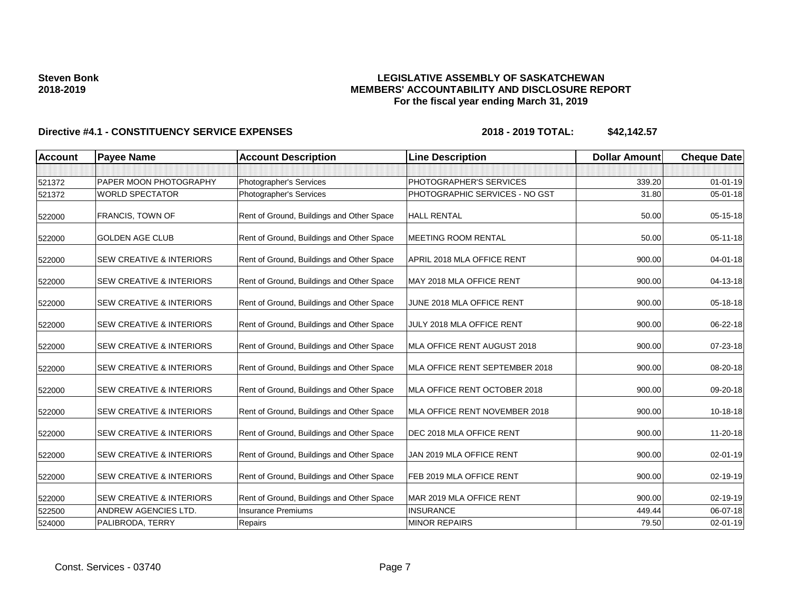### **LEGISLATIVE ASSEMBLY OF SASKATCHEWAN MEMBERS' ACCOUNTABILITY AND DISCLOSURE REPORT For the fiscal year ending March 31, 2019**

| <b>Account</b> | <b>Payee Name</b>                   | <b>Account Description</b>                | <b>Line Description</b>        | <b>Dollar Amount</b> | <b>Cheque Date</b> |
|----------------|-------------------------------------|-------------------------------------------|--------------------------------|----------------------|--------------------|
|                |                                     |                                           |                                |                      |                    |
| 521372         | PAPER MOON PHOTOGRAPHY              | Photographer's Services                   | PHOTOGRAPHER'S SERVICES        | 339.20               | $01 - 01 - 19$     |
| 521372         | <b>WORLD SPECTATOR</b>              | Photographer's Services                   | PHOTOGRAPHIC SERVICES - NO GST | 31.80                | $05 - 01 - 18$     |
| 522000         | FRANCIS, TOWN OF                    | Rent of Ground, Buildings and Other Space | <b>HALL RENTAL</b>             | 50.00                | $05 - 15 - 18$     |
| 522000         | <b>GOLDEN AGE CLUB</b>              | Rent of Ground, Buildings and Other Space | <b>MEETING ROOM RENTAL</b>     | 50.00                | $05 - 11 - 18$     |
| 522000         | <b>SEW CREATIVE &amp; INTERIORS</b> | Rent of Ground, Buildings and Other Space | APRIL 2018 MLA OFFICE RENT     | 900.00               | 04-01-18           |
| 522000         | <b>SEW CREATIVE &amp; INTERIORS</b> | Rent of Ground, Buildings and Other Space | MAY 2018 MLA OFFICE RENT       | 900.00               | 04-13-18           |
| 522000         | <b>SEW CREATIVE &amp; INTERIORS</b> | Rent of Ground, Buildings and Other Space | JUNE 2018 MLA OFFICE RENT      | 900.00               | 05-18-18           |
| 522000         | <b>SEW CREATIVE &amp; INTERIORS</b> | Rent of Ground, Buildings and Other Space | JULY 2018 MLA OFFICE RENT      | 900.00               | 06-22-18           |
| 522000         | <b>SEW CREATIVE &amp; INTERIORS</b> | Rent of Ground, Buildings and Other Space | MLA OFFICE RENT AUGUST 2018    | 900.00               | 07-23-18           |
| 522000         | <b>SEW CREATIVE &amp; INTERIORS</b> | Rent of Ground, Buildings and Other Space | MLA OFFICE RENT SEPTEMBER 2018 | 900.00               | 08-20-18           |
| 522000         | <b>SEW CREATIVE &amp; INTERIORS</b> | Rent of Ground, Buildings and Other Space | MLA OFFICE RENT OCTOBER 2018   | 900.00               | 09-20-18           |
| 522000         | <b>SEW CREATIVE &amp; INTERIORS</b> | Rent of Ground, Buildings and Other Space | MLA OFFICE RENT NOVEMBER 2018  | 900.00               | 10-18-18           |
| 522000         | <b>SEW CREATIVE &amp; INTERIORS</b> | Rent of Ground, Buildings and Other Space | DEC 2018 MLA OFFICE RENT       | 900.00               | 11-20-18           |
| 522000         | <b>SEW CREATIVE &amp; INTERIORS</b> | Rent of Ground, Buildings and Other Space | JAN 2019 MLA OFFICE RENT       | 900.00               | 02-01-19           |
| 522000         | <b>SEW CREATIVE &amp; INTERIORS</b> | Rent of Ground, Buildings and Other Space | FEB 2019 MLA OFFICE RENT       | 900.00               | 02-19-19           |
| 522000         | <b>SEW CREATIVE &amp; INTERIORS</b> | Rent of Ground, Buildings and Other Space | MAR 2019 MLA OFFICE RENT       | 900.00               | 02-19-19           |
| 522500         | <b>ANDREW AGENCIES LTD.</b>         | <b>Insurance Premiums</b>                 | <b>INSURANCE</b>               | 449.44               | 06-07-18           |
| 524000         | PALIBRODA, TERRY                    | Repairs                                   | <b>MINOR REPAIRS</b>           | 79.50                | 02-01-19           |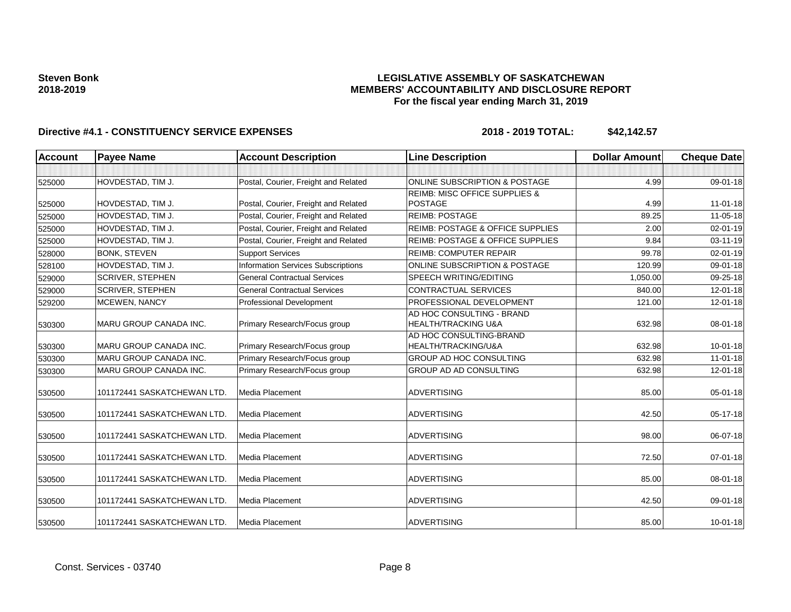### **LEGISLATIVE ASSEMBLY OF SASKATCHEWAN MEMBERS' ACCOUNTABILITY AND DISCLOSURE REPORT For the fiscal year ending March 31, 2019**

| <b>Account</b> | <b>Payee Name</b>             | <b>Account Description</b>                | <b>Line Description</b>                     | <b>Dollar Amount</b> | <b>Cheque Date</b> |
|----------------|-------------------------------|-------------------------------------------|---------------------------------------------|----------------------|--------------------|
|                |                               |                                           |                                             |                      |                    |
| 525000         | HOVDESTAD, TIM J.             | Postal, Courier, Freight and Related      | ONLINE SUBSCRIPTION & POSTAGE               | 4.99                 | 09-01-18           |
|                |                               |                                           | <b>REIMB: MISC OFFICE SUPPLIES &amp;</b>    |                      |                    |
| 525000         | HOVDESTAD, TIM J.             | Postal, Courier, Freight and Related      | <b>POSTAGE</b>                              | 4.99                 | $11 - 01 - 18$     |
| 525000         | HOVDESTAD, TIM J.             | Postal, Courier, Freight and Related      | <b>REIMB: POSTAGE</b>                       | 89.25                | 11-05-18           |
| 525000         | HOVDESTAD, TIM J.             | Postal, Courier, Freight and Related      | <b>REIMB: POSTAGE &amp; OFFICE SUPPLIES</b> | 2.00                 | 02-01-19           |
| 525000         | HOVDESTAD, TIM J.             | Postal, Courier, Freight and Related      | <b>REIMB: POSTAGE &amp; OFFICE SUPPLIES</b> | 9.84                 | 03-11-19           |
| 528000         | <b>BONK, STEVEN</b>           | <b>Support Services</b>                   | <b>REIMB: COMPUTER REPAIR</b>               | 99.78                | 02-01-19           |
| 528100         | HOVDESTAD, TIM J.             | <b>Information Services Subscriptions</b> | ONLINE SUBSCRIPTION & POSTAGE               | 120.99               | 09-01-18           |
| 529000         | <b>SCRIVER, STEPHEN</b>       | <b>General Contractual Services</b>       | SPEECH WRITING/EDITING                      | 1,050.00             | 09-25-18           |
| 529000         | <b>SCRIVER, STEPHEN</b>       | <b>General Contractual Services</b>       | CONTRACTUAL SERVICES                        | 840.00               | 12-01-18           |
| 529200         | <b>MCEWEN, NANCY</b>          | Professional Development                  | PROFESSIONAL DEVELOPMENT                    | 121.00               | 12-01-18           |
|                |                               |                                           | AD HOC CONSULTING - BRAND                   |                      |                    |
| 530300         | MARU GROUP CANADA INC.        | Primary Research/Focus group              | HEALTH/TRACKING U&A                         | 632.98               | 08-01-18           |
|                |                               |                                           | AD HOC CONSULTING-BRAND                     |                      |                    |
| 530300         | <b>MARU GROUP CANADA INC.</b> | Primary Research/Focus group              | HEALTH/TRACKING/U&A                         | 632.98               | $10 - 01 - 18$     |
| 530300         | <b>MARU GROUP CANADA INC.</b> | Primary Research/Focus group              | <b>GROUP AD HOC CONSULTING</b>              | 632.98               | $11 - 01 - 18$     |
| 530300         | <b>MARU GROUP CANADA INC.</b> | Primary Research/Focus group              | <b>GROUP AD AD CONSULTING</b>               | 632.98               | $12 - 01 - 18$     |
| 530500         | 101172441 SASKATCHEWAN LTD.   | <b>Media Placement</b>                    | <b>ADVERTISING</b>                          | 85.00                | $05 - 01 - 18$     |
| 530500         | 101172441 SASKATCHEWAN LTD.   | <b>Media Placement</b>                    | <b>ADVERTISING</b>                          | 42.50                | 05-17-18           |
| 530500         | 101172441 SASKATCHEWAN LTD.   | Media Placement                           | <b>ADVERTISING</b>                          | 98.00                | 06-07-18           |
| 530500         | 101172441 SASKATCHEWAN LTD.   | Media Placement                           | <b>ADVERTISING</b>                          | 72.50                | $07 - 01 - 18$     |
| 530500         | 101172441 SASKATCHEWAN LTD.   | <b>Media Placement</b>                    | <b>ADVERTISING</b>                          | 85.00                | 08-01-18           |
| 530500         | 101172441 SASKATCHEWAN LTD.   | <b>Media Placement</b>                    | <b>ADVERTISING</b>                          | 42.50                | 09-01-18           |
| 530500         | 101172441 SASKATCHEWAN LTD.   | Media Placement                           | <b>ADVERTISING</b>                          | 85.00                | $10 - 01 - 18$     |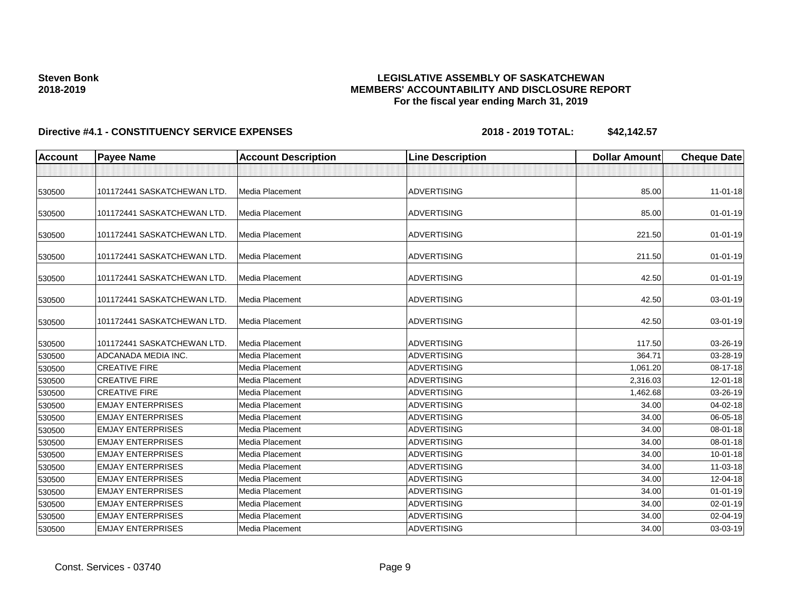### **LEGISLATIVE ASSEMBLY OF SASKATCHEWAN MEMBERS' ACCOUNTABILITY AND DISCLOSURE REPORT For the fiscal year ending March 31, 2019**

| <b>Account</b> | <b>Payee Name</b>           | <b>Account Description</b> | <b>Line Description</b> | <b>Dollar Amount</b> | <b>Cheque Date</b> |
|----------------|-----------------------------|----------------------------|-------------------------|----------------------|--------------------|
|                |                             |                            |                         |                      |                    |
| 530500         | 101172441 SASKATCHEWAN LTD  | Media Placement            | <b>ADVERTISING</b>      | 85.00                | $11 - 01 - 18$     |
| 530500         | 101172441 SASKATCHEWAN LTD  | Media Placement            | <b>ADVERTISING</b>      | 85.00                | $01 - 01 - 19$     |
| 530500         | 101172441 SASKATCHEWAN LTD. | Media Placement            | <b>ADVERTISING</b>      | 221.50               | $01 - 01 - 19$     |
| 530500         | 101172441 SASKATCHEWAN LTD. | Media Placement            | <b>ADVERTISING</b>      | 211.50               | $01 - 01 - 19$     |
| 530500         | 101172441 SASKATCHEWAN LTD. | Media Placement            | <b>ADVERTISING</b>      | 42.50                | $01 - 01 - 19$     |
| 530500         | 101172441 SASKATCHEWAN LTD. | Media Placement            | <b>ADVERTISING</b>      | 42.50                | 03-01-19           |
| 530500         | 101172441 SASKATCHEWAN LTD. | Media Placement            | <b>ADVERTISING</b>      | 42.50                | 03-01-19           |
| 530500         | 101172441 SASKATCHEWAN LTD. | Media Placement            | <b>ADVERTISING</b>      | 117.50               | 03-26-19           |
| 530500         | ADCANADA MEDIA INC.         | Media Placement            | <b>ADVERTISING</b>      | 364.71               | 03-28-19           |
| 530500         | <b>CREATIVE FIRE</b>        | Media Placement            | <b>ADVERTISING</b>      | 1,061.20             | 08-17-18           |
| 530500         | <b>CREATIVE FIRE</b>        | Media Placement            | <b>ADVERTISING</b>      | 2,316.03             | 12-01-18           |
| 530500         | <b>CREATIVE FIRE</b>        | Media Placement            | <b>ADVERTISING</b>      | 1,462.68             | 03-26-19           |
| 530500         | <b>EMJAY ENTERPRISES</b>    | Media Placement            | <b>ADVERTISING</b>      | 34.00                | 04-02-18           |
| 530500         | <b>EMJAY ENTERPRISES</b>    | Media Placement            | <b>ADVERTISING</b>      | 34.00                | 06-05-18           |
| 530500         | <b>EMJAY ENTERPRISES</b>    | Media Placement            | <b>ADVERTISING</b>      | 34.00                | 08-01-18           |
| 530500         | <b>EMJAY ENTERPRISES</b>    | Media Placement            | <b>ADVERTISING</b>      | 34.00                | 08-01-18           |
| 530500         | <b>EMJAY ENTERPRISES</b>    | Media Placement            | <b>ADVERTISING</b>      | 34.00                | $10 - 01 - 18$     |
| 530500         | <b>EMJAY ENTERPRISES</b>    | Media Placement            | <b>ADVERTISING</b>      | 34.00                | 11-03-18           |
| 530500         | <b>EMJAY ENTERPRISES</b>    | Media Placement            | <b>ADVERTISING</b>      | 34.00                | 12-04-18           |
| 530500         | <b>EMJAY ENTERPRISES</b>    | Media Placement            | <b>ADVERTISING</b>      | 34.00                | $01 - 01 - 19$     |
| 530500         | <b>EMJAY ENTERPRISES</b>    | Media Placement            | <b>ADVERTISING</b>      | 34.00                | 02-01-19           |
| 530500         | <b>EMJAY ENTERPRISES</b>    | Media Placement            | <b>ADVERTISING</b>      | 34.00                | 02-04-19           |
| 530500         | <b>EMJAY ENTERPRISES</b>    | Media Placement            | <b>ADVERTISING</b>      | 34.00                | 03-03-19           |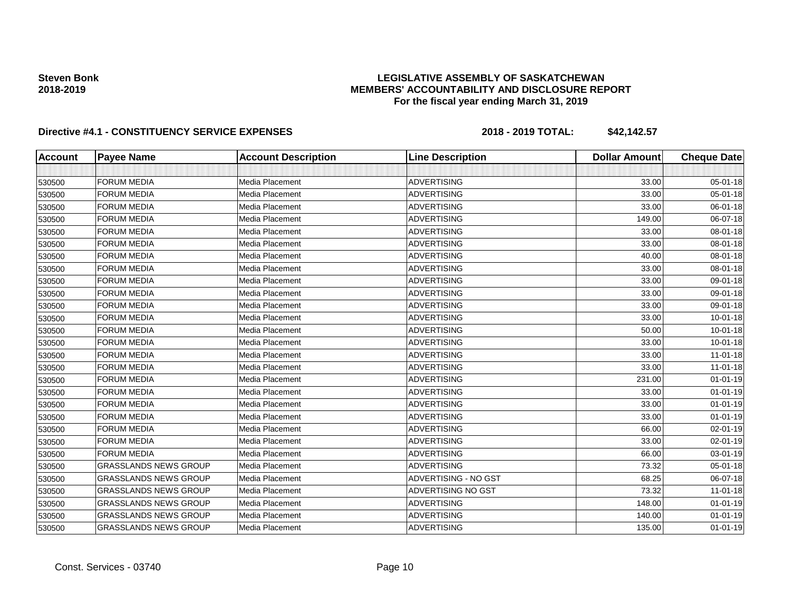### **LEGISLATIVE ASSEMBLY OF SASKATCHEWAN MEMBERS' ACCOUNTABILITY AND DISCLOSURE REPORT For the fiscal year ending March 31, 2019**

| <b>Account</b> | <b>Payee Name</b>            | <b>Account Description</b> | <b>Line Description</b> | <b>Dollar Amount</b> | <b>Cheque Date</b> |
|----------------|------------------------------|----------------------------|-------------------------|----------------------|--------------------|
|                |                              |                            |                         |                      |                    |
| 530500         | <b>FORUM MEDIA</b>           | Media Placement            | <b>ADVERTISING</b>      | 33.00                | $05 - 01 - 18$     |
| 530500         | <b>FORUM MEDIA</b>           | Media Placement            | <b>ADVERTISING</b>      | 33.00                | $05 - 01 - 18$     |
| 530500         | <b>FORUM MEDIA</b>           | Media Placement            | <b>ADVERTISING</b>      | 33.00                | 06-01-18           |
| 530500         | <b>FORUM MEDIA</b>           | Media Placement            | <b>ADVERTISING</b>      | 149.00               | 06-07-18           |
| 530500         | <b>FORUM MEDIA</b>           | Media Placement            | <b>ADVERTISING</b>      | 33.00                | 08-01-18           |
| 530500         | <b>FORUM MEDIA</b>           | Media Placement            | <b>ADVERTISING</b>      | 33.00                | 08-01-18           |
| 530500         | <b>FORUM MEDIA</b>           | Media Placement            | <b>ADVERTISING</b>      | 40.00                | 08-01-18           |
| 530500         | <b>FORUM MEDIA</b>           | Media Placement            | <b>ADVERTISING</b>      | 33.00                | 08-01-18           |
| 530500         | <b>FORUM MEDIA</b>           | Media Placement            | <b>ADVERTISING</b>      | 33.00                | 09-01-18           |
| 530500         | <b>FORUM MEDIA</b>           | Media Placement            | <b>ADVERTISING</b>      | 33.00                | 09-01-18           |
| 530500         | <b>FORUM MEDIA</b>           | Media Placement            | <b>ADVERTISING</b>      | 33.00                | 09-01-18           |
| 530500         | <b>FORUM MEDIA</b>           | Media Placement            | <b>ADVERTISING</b>      | 33.00                | $10 - 01 - 18$     |
| 530500         | <b>FORUM MEDIA</b>           | Media Placement            | <b>ADVERTISING</b>      | 50.00                | $10 - 01 - 18$     |
| 530500         | <b>FORUM MEDIA</b>           | Media Placement            | ADVERTISING             | 33.00                | 10-01-18           |
| 530500         | <b>FORUM MEDIA</b>           | Media Placement            | <b>ADVERTISING</b>      | 33.00                | $11-01-18$         |
| 530500         | <b>FORUM MEDIA</b>           | Media Placement            | <b>ADVERTISING</b>      | 33.00                | $11-01-18$         |
| 530500         | <b>FORUM MEDIA</b>           | Media Placement            | <b>ADVERTISING</b>      | 231.00               | $01 - 01 - 19$     |
| 530500         | <b>FORUM MEDIA</b>           | Media Placement            | <b>ADVERTISING</b>      | 33.00                | $01 - 01 - 19$     |
| 530500         | <b>FORUM MEDIA</b>           | Media Placement            | <b>ADVERTISING</b>      | 33.00                | $01 - 01 - 19$     |
| 530500         | <b>FORUM MEDIA</b>           | Media Placement            | <b>ADVERTISING</b>      | 33.00                | $01 - 01 - 19$     |
| 530500         | <b>FORUM MEDIA</b>           | Media Placement            | <b>ADVERTISING</b>      | 66.00                | 02-01-19           |
| 530500         | <b>FORUM MEDIA</b>           | Media Placement            | ADVERTISING             | 33.00                | 02-01-19           |
| 530500         | <b>FORUM MEDIA</b>           | Media Placement            | <b>ADVERTISING</b>      | 66.00                | 03-01-19           |
| 530500         | <b>GRASSLANDS NEWS GROUP</b> | <b>Media Placement</b>     | <b>ADVERTISING</b>      | 73.32                | 05-01-18           |
| 530500         | <b>GRASSLANDS NEWS GROUP</b> | Media Placement            | ADVERTISING - NO GST    | 68.25                | 06-07-18           |
| 530500         | <b>GRASSLANDS NEWS GROUP</b> | Media Placement            | ADVERTISING NO GST      | 73.32                | $11-01-18$         |
| 530500         | <b>GRASSLANDS NEWS GROUP</b> | Media Placement            | ADVERTISING             | 148.00               | $01 - 01 - 19$     |
| 530500         | <b>GRASSLANDS NEWS GROUP</b> | Media Placement            | <b>ADVERTISING</b>      | 140.00               | $01 - 01 - 19$     |
| 530500         | <b>GRASSLANDS NEWS GROUP</b> | Media Placement            | <b>ADVERTISING</b>      | 135.00               | $01 - 01 - 19$     |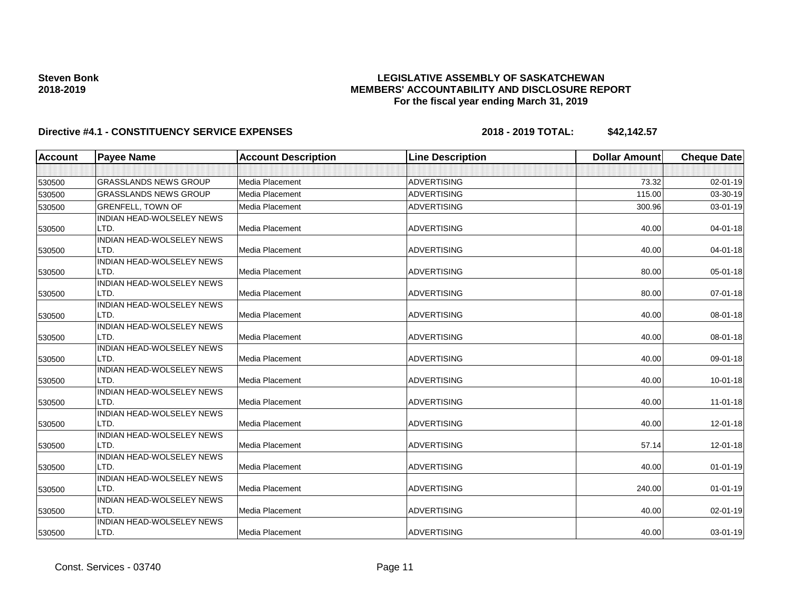### **LEGISLATIVE ASSEMBLY OF SASKATCHEWAN MEMBERS' ACCOUNTABILITY AND DISCLOSURE REPORT For the fiscal year ending March 31, 2019**

| <b>Account</b> | <b>Payee Name</b>                        | <b>Account Description</b> | <b>Line Description</b> | <b>Dollar Amount</b> | <b>Cheque Date</b> |
|----------------|------------------------------------------|----------------------------|-------------------------|----------------------|--------------------|
|                |                                          |                            |                         |                      |                    |
| 530500         | <b>GRASSLANDS NEWS GROUP</b>             | <b>Media Placement</b>     | <b>ADVERTISING</b>      | 73.32                | 02-01-19           |
| 530500         | <b>GRASSLANDS NEWS GROUP</b>             | <b>Media Placement</b>     | <b>ADVERTISING</b>      | 115.00               | 03-30-19           |
| 530500         | <b>GRENFELL, TOWN OF</b>                 | Media Placement            | <b>ADVERTISING</b>      | 300.96               | 03-01-19           |
| 530500         | <b>INDIAN HEAD-WOLSELEY NEWS</b><br>LTD. | Media Placement            | <b>ADVERTISING</b>      | 40.00                | 04-01-18           |
| 530500         | INDIAN HEAD-WOLSELEY NEWS<br>LTD.        | Media Placement            | <b>ADVERTISING</b>      | 40.00                | 04-01-18           |
|                | <b>INDIAN HEAD-WOLSELEY NEWS</b>         |                            |                         |                      |                    |
| 530500         | LTD.                                     | Media Placement            | <b>ADVERTISING</b>      | 80.00                | 05-01-18           |
| 530500         | <b>INDIAN HEAD-WOLSELEY NEWS</b><br>LTD. | Media Placement            | <b>ADVERTISING</b>      | 80.00                | $07 - 01 - 18$     |
| 530500         | INDIAN HEAD-WOLSELEY NEWS<br>LTD.        | <b>Media Placement</b>     | <b>ADVERTISING</b>      | 40.00                | 08-01-18           |
|                | INDIAN HEAD-WOLSELEY NEWS                |                            |                         |                      |                    |
| 530500         | LTD.                                     | Media Placement            | <b>ADVERTISING</b>      | 40.00                | 08-01-18           |
| 530500         | <b>INDIAN HEAD-WOLSELEY NEWS</b><br>LTD. | Media Placement            | <b>ADVERTISING</b>      | 40.00                | 09-01-18           |
| 530500         | <b>INDIAN HEAD-WOLSELEY NEWS</b><br>LTD. | Media Placement            | <b>ADVERTISING</b>      | 40.00                | $10 - 01 - 18$     |
|                | INDIAN HEAD-WOLSELEY NEWS                |                            |                         |                      |                    |
| 530500         | LTD.                                     | Media Placement            | <b>ADVERTISING</b>      | 40.00                | $11-01-18$         |
| 530500         | INDIAN HEAD-WOLSELEY NEWS<br>LTD.        | Media Placement            | <b>ADVERTISING</b>      | 40.00                | 12-01-18           |
| 530500         | INDIAN HEAD-WOLSELEY NEWS<br>LTD.        | Media Placement            | <b>ADVERTISING</b>      | 57.14                | 12-01-18           |
| 530500         | INDIAN HEAD-WOLSELEY NEWS<br>LTD.        | <b>Media Placement</b>     | <b>ADVERTISING</b>      | 40.00                | $01 - 01 - 19$     |
| 530500         | INDIAN HEAD-WOLSELEY NEWS<br>LTD.        | Media Placement            | <b>ADVERTISING</b>      | 240.00               | $01 - 01 - 19$     |
| 530500         | <b>INDIAN HEAD-WOLSELEY NEWS</b><br>LTD. | Media Placement            | <b>ADVERTISING</b>      | 40.00                | 02-01-19           |
|                | <b>INDIAN HEAD-WOLSELEY NEWS</b>         |                            |                         |                      |                    |
| 530500         | LTD.                                     | Media Placement            | <b>ADVERTISING</b>      | 40.00                | 03-01-19           |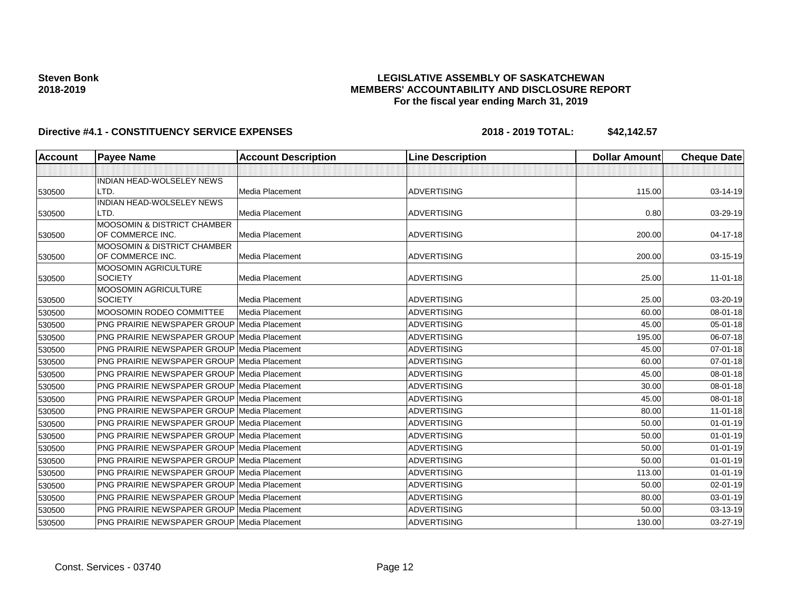### **LEGISLATIVE ASSEMBLY OF SASKATCHEWAN MEMBERS' ACCOUNTABILITY AND DISCLOSURE REPORT For the fiscal year ending March 31, 2019**

| <b>Account</b> | <b>Payee Name</b>                                  | <b>Account Description</b> | <b>Line Description</b> | <b>Dollar Amount</b> | <b>Cheque Date</b> |
|----------------|----------------------------------------------------|----------------------------|-------------------------|----------------------|--------------------|
|                |                                                    |                            |                         |                      |                    |
|                | <b>INDIAN HEAD-WOLSELEY NEWS</b>                   |                            |                         |                      |                    |
| 530500         | LTD.                                               | <b>Media Placement</b>     | <b>ADVERTISING</b>      | 115.00               | 03-14-19           |
|                | INDIAN HEAD-WOLSELEY NEWS                          |                            |                         |                      |                    |
| 530500         | LTD.                                               | Media Placement            | <b>ADVERTISING</b>      | 0.80                 | 03-29-19           |
|                | <b>MOOSOMIN &amp; DISTRICT CHAMBER</b>             |                            |                         |                      |                    |
| 530500         | OF COMMERCE INC.                                   | Media Placement            | <b>ADVERTISING</b>      | 200.00               | 04-17-18           |
| 530500         | MOOSOMIN & DISTRICT CHAMBER<br>OF COMMERCE INC.    | <b>Media Placement</b>     | <b>ADVERTISING</b>      | 200.00               | 03-15-19           |
|                | MOOSOMIN AGRICULTURE                               |                            |                         |                      |                    |
| 530500         | <b>SOCIETY</b>                                     | Media Placement            | <b>ADVERTISING</b>      | 25.00                | $11-01-18$         |
|                | MOOSOMIN AGRICULTURE                               |                            |                         |                      |                    |
| 530500         | <b>SOCIETY</b>                                     | Media Placement            | <b>ADVERTISING</b>      | 25.00                | 03-20-19           |
| 530500         | <b>MOOSOMIN RODEO COMMITTEE</b>                    | Media Placement            | <b>ADVERTISING</b>      | 60.00                | 08-01-18           |
| 530500         | <b>PNG PRAIRIE NEWSPAPER GROUP Media Placement</b> |                            | <b>ADVERTISING</b>      | 45.00                | $05 - 01 - 18$     |
| 530500         | <b>PNG PRAIRIE NEWSPAPER GROUP Media Placement</b> |                            | <b>ADVERTISING</b>      | 195.00               | 06-07-18           |
| 530500         | <b>PNG PRAIRIE NEWSPAPER GROUP Media Placement</b> |                            | <b>ADVERTISING</b>      | 45.00                | 07-01-18           |
| 530500         | <b>PNG PRAIRIE NEWSPAPER GROUP Media Placement</b> |                            | <b>ADVERTISING</b>      | 60.00                | 07-01-18           |
| 530500         | <b>PNG PRAIRIE NEWSPAPER GROUP Media Placement</b> |                            | <b>ADVERTISING</b>      | 45.00                | 08-01-18           |
| 530500         | <b>PNG PRAIRIE NEWSPAPER GROUP Media Placement</b> |                            | <b>ADVERTISING</b>      | 30.00                | 08-01-18           |
| 530500         | <b>PNG PRAIRIE NEWSPAPER GROUP Media Placement</b> |                            | <b>ADVERTISING</b>      | 45.00                | 08-01-18           |
| 530500         | <b>PNG PRAIRIE NEWSPAPER GROUP Media Placement</b> |                            | <b>ADVERTISING</b>      | 80.00                | $11 - 01 - 18$     |
| 530500         | <b>PNG PRAIRIE NEWSPAPER GROUP Media Placement</b> |                            | <b>ADVERTISING</b>      | 50.00                | $01 - 01 - 19$     |
| 530500         | <b>PNG PRAIRIE NEWSPAPER GROUP Media Placement</b> |                            | <b>ADVERTISING</b>      | 50.00                | $01 - 01 - 19$     |
| 530500         | <b>PNG PRAIRIE NEWSPAPER GROUP Media Placement</b> |                            | <b>ADVERTISING</b>      | 50.00                | $01 - 01 - 19$     |
| 530500         | <b>PNG PRAIRIE NEWSPAPER GROUP Media Placement</b> |                            | <b>ADVERTISING</b>      | 50.00                | $01 - 01 - 19$     |
| 530500         | <b>PNG PRAIRIE NEWSPAPER GROUP Media Placement</b> |                            | <b>ADVERTISING</b>      | 113.00               | $01 - 01 - 19$     |
| 530500         | <b>PNG PRAIRIE NEWSPAPER GROUP Media Placement</b> |                            | <b>ADVERTISING</b>      | 50.00                | $02 - 01 - 19$     |
| 530500         | <b>PNG PRAIRIE NEWSPAPER GROUP Media Placement</b> |                            | <b>ADVERTISING</b>      | 80.00                | 03-01-19           |
| 530500         | <b>PNG PRAIRIE NEWSPAPER GROUP Media Placement</b> |                            | <b>ADVERTISING</b>      | 50.00                | 03-13-19           |
| 530500         | PNG PRAIRIE NEWSPAPER GROUP Media Placement        |                            | <b>ADVERTISING</b>      | 130.00               | $03 - 27 - 19$     |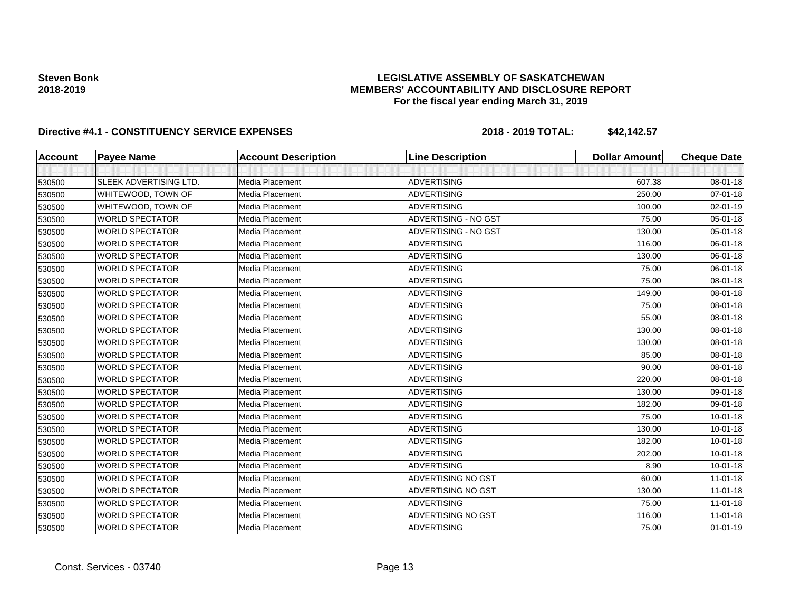### **LEGISLATIVE ASSEMBLY OF SASKATCHEWAN MEMBERS' ACCOUNTABILITY AND DISCLOSURE REPORT For the fiscal year ending March 31, 2019**

| <b>Account</b> | <b>Payee Name</b>      | <b>Account Description</b> | <b>Line Description</b>   | Dollar Amount | <b>Cheque Date</b> |
|----------------|------------------------|----------------------------|---------------------------|---------------|--------------------|
|                |                        |                            |                           |               |                    |
| 530500         | SLEEK ADVERTISING LTD. | Media Placement            | <b>ADVERTISING</b>        | 607.38        | 08-01-18           |
| 530500         | WHITEWOOD, TOWN OF     | <b>Media Placement</b>     | <b>ADVERTISING</b>        | 250.00        | 07-01-18           |
| 530500         | WHITEWOOD, TOWN OF     | <b>Media Placement</b>     | <b>ADVERTISING</b>        | 100.00        | 02-01-19           |
| 530500         | <b>WORLD SPECTATOR</b> | Media Placement            | ADVERTISING - NO GST      | 75.00         | 05-01-18           |
| 530500         | <b>WORLD SPECTATOR</b> | <b>Media Placement</b>     | ADVERTISING - NO GST      | 130.00        | 05-01-18           |
| 530500         | <b>WORLD SPECTATOR</b> | Media Placement            | <b>ADVERTISING</b>        | 116.00        | 06-01-18           |
| 530500         | <b>WORLD SPECTATOR</b> | Media Placement            | <b>ADVERTISING</b>        | 130.00        | 06-01-18           |
| 530500         | <b>WORLD SPECTATOR</b> | Media Placement            | <b>ADVERTISING</b>        | 75.00         | 06-01-18           |
| 530500         | <b>WORLD SPECTATOR</b> | Media Placement            | <b>ADVERTISING</b>        | 75.00         | 08-01-18           |
| 530500         | <b>WORLD SPECTATOR</b> | Media Placement            | <b>ADVERTISING</b>        | 149.00        | 08-01-18           |
| 530500         | <b>WORLD SPECTATOR</b> | Media Placement            | <b>ADVERTISING</b>        | 75.00         | 08-01-18           |
| 530500         | <b>WORLD SPECTATOR</b> | Media Placement            | <b>ADVERTISING</b>        | 55.00         | 08-01-18           |
| 530500         | <b>WORLD SPECTATOR</b> | Media Placement            | <b>ADVERTISING</b>        | 130.00        | 08-01-18           |
| 530500         | <b>WORLD SPECTATOR</b> | Media Placement            | <b>ADVERTISING</b>        | 130.00        | 08-01-18           |
| 530500         | <b>WORLD SPECTATOR</b> | Media Placement            | <b>ADVERTISING</b>        | 85.00         | 08-01-18           |
| 530500         | <b>WORLD SPECTATOR</b> | Media Placement            | <b>ADVERTISING</b>        | 90.00         | 08-01-18           |
| 530500         | <b>WORLD SPECTATOR</b> | Media Placement            | <b>ADVERTISING</b>        | 220.00        | 08-01-18           |
| 530500         | <b>WORLD SPECTATOR</b> | Media Placement            | <b>ADVERTISING</b>        | 130.00        | 09-01-18           |
| 530500         | <b>WORLD SPECTATOR</b> | Media Placement            | <b>ADVERTISING</b>        | 182.00        | 09-01-18           |
| 530500         | <b>WORLD SPECTATOR</b> | Media Placement            | <b>ADVERTISING</b>        | 75.00         | $10 - 01 - 18$     |
| 530500         | <b>WORLD SPECTATOR</b> | Media Placement            | <b>ADVERTISING</b>        | 130.00        | $10 - 01 - 18$     |
| 530500         | <b>WORLD SPECTATOR</b> | <b>Media Placement</b>     | <b>ADVERTISING</b>        | 182.00        | $10 - 01 - 18$     |
| 530500         | <b>WORLD SPECTATOR</b> | Media Placement            | <b>ADVERTISING</b>        | 202.00        | $10 - 01 - 18$     |
| 530500         | <b>WORLD SPECTATOR</b> | Media Placement            | <b>ADVERTISING</b>        | 8.90          | $10 - 01 - 18$     |
| 530500         | <b>WORLD SPECTATOR</b> | <b>Media Placement</b>     | <b>ADVERTISING NO GST</b> | 60.00         | $11-01-18$         |
| 530500         | <b>WORLD SPECTATOR</b> | Media Placement            | <b>ADVERTISING NO GST</b> | 130.00        | $11-01-18$         |
| 530500         | <b>WORLD SPECTATOR</b> | Media Placement            | <b>ADVERTISING</b>        | 75.00         | $11-01-18$         |
| 530500         | <b>WORLD SPECTATOR</b> | Media Placement            | ADVERTISING NO GST        | 116.00        | $11-01-18$         |
| 530500         | <b>WORLD SPECTATOR</b> | Media Placement            | <b>ADVERTISING</b>        | 75.00         | $01 - 01 - 19$     |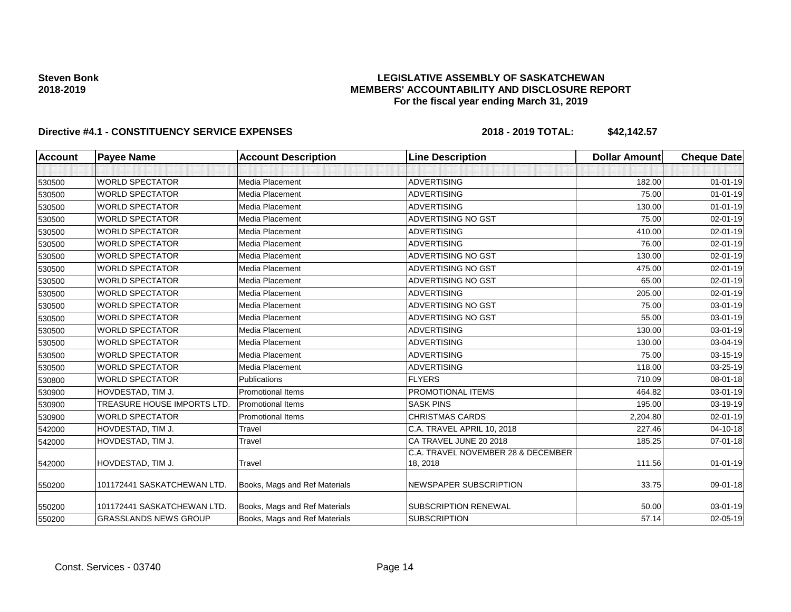### **LEGISLATIVE ASSEMBLY OF SASKATCHEWAN MEMBERS' ACCOUNTABILITY AND DISCLOSURE REPORT For the fiscal year ending March 31, 2019**

| <b>Account</b> | <b>Payee Name</b>                  | <b>Account Description</b>    | <b>Line Description</b>                        | <b>Dollar Amount</b> | <b>Cheque Date</b> |
|----------------|------------------------------------|-------------------------------|------------------------------------------------|----------------------|--------------------|
|                |                                    |                               |                                                |                      |                    |
| 530500         | <b>WORLD SPECTATOR</b>             | Media Placement               | <b>ADVERTISING</b>                             | 182.00               | $01 - 01 - 19$     |
| 530500         | <b>WORLD SPECTATOR</b>             | Media Placement               | <b>ADVERTISING</b>                             | 75.00                | $01 - 01 - 19$     |
| 530500         | <b>WORLD SPECTATOR</b>             | Media Placement               | <b>ADVERTISING</b>                             | 130.00               | $01 - 01 - 19$     |
| 530500         | <b>WORLD SPECTATOR</b>             | Media Placement               | <b>ADVERTISING NO GST</b>                      | 75.00                | $02 - 01 - 19$     |
| 530500         | <b>WORLD SPECTATOR</b>             | Media Placement               | <b>ADVERTISING</b>                             | 410.00               | $02 - 01 - 19$     |
| 530500         | <b>WORLD SPECTATOR</b>             | Media Placement               | <b>ADVERTISING</b>                             | 76.00                | $02 - 01 - 19$     |
| 530500         | <b>WORLD SPECTATOR</b>             | Media Placement               | <b>ADVERTISING NO GST</b>                      | 130.00               | $02 - 01 - 19$     |
| 530500         | <b>WORLD SPECTATOR</b>             | Media Placement               | <b>ADVERTISING NO GST</b>                      | 475.00               | $02 - 01 - 19$     |
| 530500         | <b>WORLD SPECTATOR</b>             | Media Placement               | <b>ADVERTISING NO GST</b>                      | 65.00                | $02 - 01 - 19$     |
| 530500         | <b>WORLD SPECTATOR</b>             | Media Placement               | <b>ADVERTISING</b>                             | 205.00               | $02 - 01 - 19$     |
| 530500         | <b>WORLD SPECTATOR</b>             | Media Placement               | <b>ADVERTISING NO GST</b>                      | 75.00                | $03 - 01 - 19$     |
| 530500         | <b>WORLD SPECTATOR</b>             | Media Placement               | ADVERTISING NO GST                             | 55.00                | 03-01-19           |
| 530500         | <b>WORLD SPECTATOR</b>             | Media Placement               | <b>ADVERTISING</b>                             | 130.00               | 03-01-19           |
| 530500         | <b>WORLD SPECTATOR</b>             | Media Placement               | <b>ADVERTISING</b>                             | 130.00               | 03-04-19           |
| 530500         | <b>WORLD SPECTATOR</b>             | Media Placement               | <b>ADVERTISING</b>                             | 75.00                | 03-15-19           |
| 530500         | <b>WORLD SPECTATOR</b>             | Media Placement               | <b>ADVERTISING</b>                             | 118.00               | 03-25-19           |
| 530800         | <b>WORLD SPECTATOR</b>             | Publications                  | <b>FLYERS</b>                                  | 710.09               | 08-01-18           |
| 530900         | HOVDESTAD, TIM J.                  | <b>Promotional Items</b>      | PROMOTIONAL ITEMS                              | 464.82               | 03-01-19           |
| 530900         | <b>TREASURE HOUSE IMPORTS LTD.</b> | <b>Promotional Items</b>      | <b>SASK PINS</b>                               | 195.00               | 03-19-19           |
| 530900         | <b>WORLD SPECTATOR</b>             | <b>Promotional Items</b>      | <b>CHRISTMAS CARDS</b>                         | 2,204.80             | 02-01-19           |
| 542000         | HOVDESTAD, TIM J.                  | Travel                        | C.A. TRAVEL APRIL 10, 2018                     | 227.46               | $04 - 10 - 18$     |
| 542000         | HOVDESTAD, TIM J.                  | Travel                        | CA TRAVEL JUNE 20 2018                         | 185.25               | $07 - 01 - 18$     |
| 542000         | HOVDESTAD, TIM J.                  | Travel                        | C.A. TRAVEL NOVEMBER 28 & DECEMBER<br>18, 2018 | 111.56               | $01 - 01 - 19$     |
| 550200         | 101172441 SASKATCHEWAN LTD.        | Books, Mags and Ref Materials | <b>NEWSPAPER SUBSCRIPTION</b>                  | 33.75                | 09-01-18           |
| 550200         | 101172441 SASKATCHEWAN LTD.        | Books, Mags and Ref Materials | <b>SUBSCRIPTION RENEWAL</b>                    | 50.00                | 03-01-19           |
| 550200         | <b>GRASSLANDS NEWS GROUP</b>       | Books, Mags and Ref Materials | <b>SUBSCRIPTION</b>                            | 57.14                | 02-05-19           |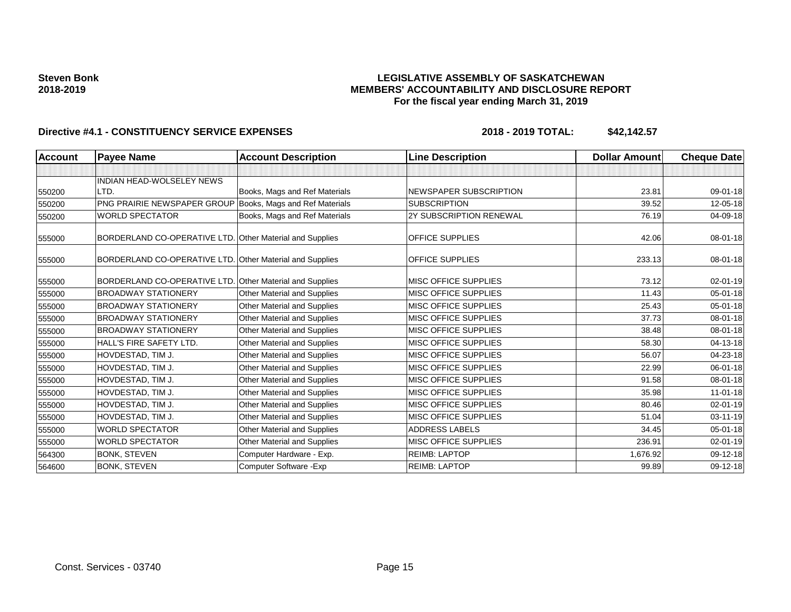### **LEGISLATIVE ASSEMBLY OF SASKATCHEWAN MEMBERS' ACCOUNTABILITY AND DISCLOSURE REPORT For the fiscal year ending March 31, 2019**

| <b>Account</b> | <b>Payee Name</b>                                         | <b>Account Description</b>         | <b>Line Description</b>     | <b>Dollar Amount</b> | <b>Cheque Date</b> |
|----------------|-----------------------------------------------------------|------------------------------------|-----------------------------|----------------------|--------------------|
|                |                                                           |                                    |                             |                      |                    |
|                | <b>INDIAN HEAD-WOLSELEY NEWS</b>                          |                                    |                             |                      |                    |
| 550200         | LTD.                                                      | Books, Mags and Ref Materials      | NEWSPAPER SUBSCRIPTION      | 23.81                | 09-01-18           |
| 550200         | PNG PRAIRIE NEWSPAPER GROUP Books, Mags and Ref Materials |                                    | <b>SUBSCRIPTION</b>         | 39.52                | 12-05-18           |
| 550200         | <b>WORLD SPECTATOR</b>                                    | Books, Mags and Ref Materials      | 2Y SUBSCRIPTION RENEWAL     | 76.19                | 04-09-18           |
| 555000         | BORDERLAND CO-OPERATIVE LTD. Other Material and Supplies  |                                    | <b>OFFICE SUPPLIES</b>      | 42.06                | 08-01-18           |
| 555000         | BORDERLAND CO-OPERATIVE LTD. Other Material and Supplies  |                                    | <b>OFFICE SUPPLIES</b>      | 233.13               | $08 - 01 - 18$     |
| 555000         | BORDERLAND CO-OPERATIVE LTD.                              | <b>Other Material and Supplies</b> | MISC OFFICE SUPPLIES        | 73.12                | 02-01-19           |
| 555000         | <b>BROADWAY STATIONERY</b>                                | Other Material and Supplies        | MISC OFFICE SUPPLIES        | 11.43                | $05 - 01 - 18$     |
| 555000         | <b>BROADWAY STATIONERY</b>                                | Other Material and Supplies        | MISC OFFICE SUPPLIES        | 25.43                | 05-01-18           |
| 555000         | <b>BROADWAY STATIONERY</b>                                | <b>Other Material and Supplies</b> | <b>MISC OFFICE SUPPLIES</b> | 37.73                | 08-01-18           |
| 555000         | <b>BROADWAY STATIONERY</b>                                | Other Material and Supplies        | MISC OFFICE SUPPLIES        | 38.48                | 08-01-18           |
| 555000         | HALL'S FIRE SAFETY LTD.                                   | <b>Other Material and Supplies</b> | <b>MISC OFFICE SUPPLIES</b> | 58.30                | 04-13-18           |
| 555000         | HOVDESTAD, TIM J.                                         | Other Material and Supplies        | MISC OFFICE SUPPLIES        | 56.07                | 04-23-18           |
| 555000         | HOVDESTAD, TIM J.                                         | <b>Other Material and Supplies</b> | MISC OFFICE SUPPLIES        | 22.99                | 06-01-18           |
| 555000         | HOVDESTAD, TIM J.                                         | Other Material and Supplies        | MISC OFFICE SUPPLIES        | 91.58                | 08-01-18           |
| 555000         | HOVDESTAD, TIM J.                                         | Other Material and Supplies        | <b>MISC OFFICE SUPPLIES</b> | 35.98                | $11-01-18$         |
| 555000         | HOVDESTAD, TIM J.                                         | <b>Other Material and Supplies</b> | MISC OFFICE SUPPLIES        | 80.46                | $02 - 01 - 19$     |
| 555000         | HOVDESTAD, TIM J.                                         | Other Material and Supplies        | MISC OFFICE SUPPLIES        | 51.04                | $03 - 11 - 19$     |
| 555000         | <b>WORLD SPECTATOR</b>                                    | Other Material and Supplies        | <b>ADDRESS LABELS</b>       | 34.45                | $05 - 01 - 18$     |
| 555000         | <b>WORLD SPECTATOR</b>                                    | Other Material and Supplies        | MISC OFFICE SUPPLIES        | 236.91               | $02 - 01 - 19$     |
| 564300         | <b>BONK, STEVEN</b>                                       | Computer Hardware - Exp.           | <b>REIMB: LAPTOP</b>        | 1,676.92             | 09-12-18           |
| 564600         | <b>BONK, STEVEN</b>                                       | Computer Software - Exp            | <b>REIMB: LAPTOP</b>        | 99.89                | 09-12-18           |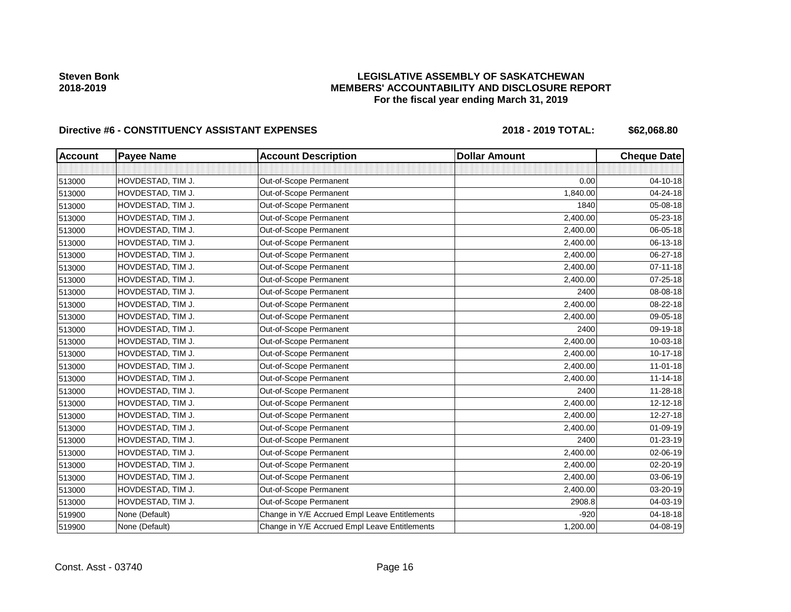# **LEGISLATIVE ASSEMBLY OF SASKATCHEWAN MEMBERS' ACCOUNTABILITY AND DISCLOSURE REPORT For the fiscal year ending March 31, 2019**

# Directive #6 - CONSTITUENCY ASSISTANT EXPENSES 2018 - 2018 - 2019 TOTAL: \$62,068.80

| <b>Account</b> | <b>Payee Name</b> | <b>Account Description</b>                    | <b>Dollar Amount</b> | <b>Cheque Date</b> |
|----------------|-------------------|-----------------------------------------------|----------------------|--------------------|
|                |                   |                                               |                      |                    |
| 513000         | HOVDESTAD, TIM J. | Out-of-Scope Permanent                        | 0.00                 | 04-10-18           |
| 513000         | HOVDESTAD, TIM J. | Out-of-Scope Permanent                        | 1,840.00             | 04-24-18           |
| 513000         | HOVDESTAD, TIM J. | Out-of-Scope Permanent                        | 1840                 | 05-08-18           |
| 513000         | HOVDESTAD, TIM J. | Out-of-Scope Permanent                        | 2,400.00             | 05-23-18           |
| 513000         | HOVDESTAD, TIM J. | Out-of-Scope Permanent                        | 2,400.00             | 06-05-18           |
| 513000         | HOVDESTAD, TIM J. | Out-of-Scope Permanent                        | 2,400.00             | 06-13-18           |
| 513000         | HOVDESTAD, TIM J. | Out-of-Scope Permanent                        | 2,400.00             | 06-27-18           |
| 513000         | HOVDESTAD, TIM J. | Out-of-Scope Permanent                        | 2,400.00             | $07 - 11 - 18$     |
| 513000         | HOVDESTAD, TIM J. | Out-of-Scope Permanent                        | 2,400.00             | 07-25-18           |
| 513000         | HOVDESTAD, TIM J. | Out-of-Scope Permanent                        | 2400                 | 08-08-18           |
| 513000         | HOVDESTAD, TIM J. | Out-of-Scope Permanent                        | 2,400.00             | 08-22-18           |
| 513000         | HOVDESTAD, TIM J. | Out-of-Scope Permanent                        | 2,400.00             | 09-05-18           |
| 513000         | HOVDESTAD, TIM J. | Out-of-Scope Permanent                        | 2400                 | 09-19-18           |
| 513000         | HOVDESTAD, TIM J. | Out-of-Scope Permanent                        | 2,400.00             | 10-03-18           |
| 513000         | HOVDESTAD, TIM J. | Out-of-Scope Permanent                        | 2,400.00             | $10-17-18$         |
| 513000         | HOVDESTAD, TIM J. | Out-of-Scope Permanent                        | 2,400.00             | $11 - 01 - 18$     |
| 513000         | HOVDESTAD, TIM J. | Out-of-Scope Permanent                        | 2,400.00             | $11 - 14 - 18$     |
| 513000         | HOVDESTAD, TIM J. | Out-of-Scope Permanent                        | 2400                 | 11-28-18           |
| 513000         | HOVDESTAD, TIM J. | Out-of-Scope Permanent                        | 2,400.00             | $12 - 12 - 18$     |
| 513000         | HOVDESTAD, TIM J. | Out-of-Scope Permanent                        | 2,400.00             | 12-27-18           |
| 513000         | HOVDESTAD, TIM J. | Out-of-Scope Permanent                        | 2,400.00             | 01-09-19           |
| 513000         | HOVDESTAD, TIM J. | Out-of-Scope Permanent                        | 2400                 | 01-23-19           |
| 513000         | HOVDESTAD, TIM J. | Out-of-Scope Permanent                        | 2,400.00             | 02-06-19           |
| 513000         | HOVDESTAD, TIM J. | Out-of-Scope Permanent                        | 2,400.00             | 02-20-19           |
| 513000         | HOVDESTAD, TIM J. | Out-of-Scope Permanent                        | 2,400.00             | 03-06-19           |
| 513000         | HOVDESTAD, TIM J. | Out-of-Scope Permanent                        | 2,400.00             | 03-20-19           |
| 513000         | HOVDESTAD, TIM J. | Out-of-Scope Permanent                        | 2908.8               | 04-03-19           |
| 519900         | None (Default)    | Change in Y/E Accrued Empl Leave Entitlements | $-920$               | 04-18-18           |
| 519900         | None (Default)    | Change in Y/E Accrued Empl Leave Entitlements | 1,200.00             | 04-08-19           |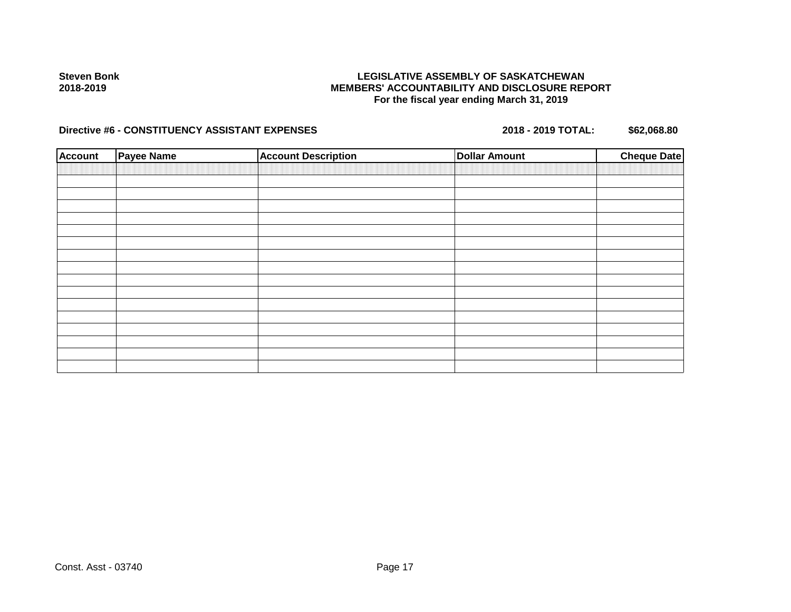# **LEGISLATIVE ASSEMBLY OF SASKATCHEWAN MEMBERS' ACCOUNTABILITY AND DISCLOSURE REPORT For the fiscal year ending March 31, 2019**

# Directive #6 - CONSTITUENCY ASSISTANT EXPENSES 2018 - 2018 - 2019 TOTAL: \$62,068.80

| <b>Account</b> | <b>Payee Name</b> | <b>Account Description</b> | <b>Dollar Amount</b> | <b>Cheque Date</b> |
|----------------|-------------------|----------------------------|----------------------|--------------------|
|                |                   |                            |                      |                    |
|                |                   |                            |                      |                    |
|                |                   |                            |                      |                    |
|                |                   |                            |                      |                    |
|                |                   |                            |                      |                    |
|                |                   |                            |                      |                    |
|                |                   |                            |                      |                    |
|                |                   |                            |                      |                    |
|                |                   |                            |                      |                    |
|                |                   |                            |                      |                    |
|                |                   |                            |                      |                    |
|                |                   |                            |                      |                    |
|                |                   |                            |                      |                    |
|                |                   |                            |                      |                    |
|                |                   |                            |                      |                    |
|                |                   |                            |                      |                    |